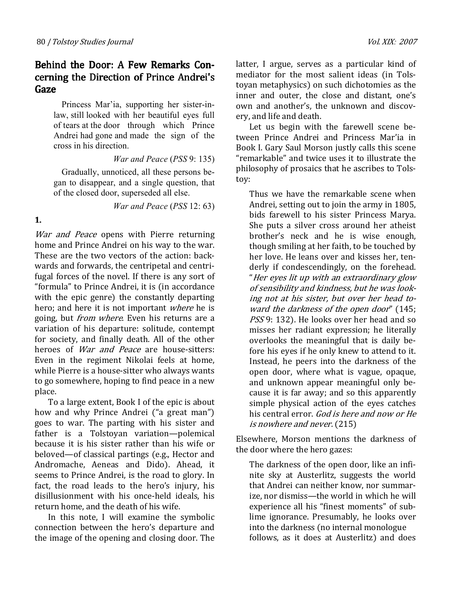# Behind the Door: A Few Remarks Concerning the Direction of Prince Andrei's Gaze

Princess Mar'ia, supporting her sister-inlaw, still looked with her beautiful eyes full of tears at the door through which Prince Andrei had gone and made the sign of the cross in his direction.

War and Peace (PSS 9: 135)

Gradually, unnoticed, all these persons began tо disappear, and a single question, that of the closed door, superseded all else.

War and Peace (PSS 12: 63)

### 1.

War and Peace opens with Pierre returning home and Prince Andrei on his way to the war. These are the two vectors of the action: backwards and forwards, the centripetal and centrifugal forces of the novel. If there is any sort of "formula" to Prince Andrei, it is (in accordance with the epic genre) the constantly departing hero; and here it is not important where he is going, but *from where*. Even his returns are a variation of his departure: solitude, contempt for society, and finally death. All of the other heroes of *War and Peace* are house-sitters: Even in the regiment Nikolai feels at home, while Pierre is a house-sitter who always wants to go somewhere, hoping to find peace in a new place.

To a large extent, Book I of the epic is about how and why Prince Andrei ("a great man") goes to war. The parting with his sister and father is a Tolstoyan variation—polemical because it is his sister rather than his wife or beloved—of classical partings (e.g., Hector and Andromache, Aeneas and Dido). Ahead, it seems to Prince Andrei, is the road to glory. In fact, the road leads to the hero's injury, his disillusionment with his once-held ideals, his return home, and the death of his wife.

In this note, I will examine the symbolic connection between the hero's departure and the image of the opening and closing door. The latter, I argue, serves as a particular kind of mediator for the most salient ideas (in Tolstoyan metaphysics) on such dichotomies as the inner and outer, the close and distant, one's own and another's, the unknown and discovery, and life and death.

Let us begin with the farewell scene between Prince Andrei and Princess Mar'ia in Book I. Gary Saul Morson justly calls this scene "remarkable" and twice uses it to illustrate the philosophy of prosaics that he ascribes to Tolstoy:

Thus we have the remarkable scene when Andrei, setting out to join the army in 1805, bids farewell to his sister Princess Marya. She puts a silver cross around her atheist brother's neck and he is wise enough, though smiling at her faith, to be touched by her love. He leans over and kisses her, tenderly if condescendingly, on the forehead. "Her eyes lit up with an extraordinary glow of sensibility and kindness, but he was looking not at his sister, but over her head toward the darkness of the open door" (145; PSS 9: 132). He looks over her head and so misses her radiant expression; he literally overlooks the meaningful that is daily before his eyes if he only knew to attend to it. Instead, he peers into the darkness of the open door, where what is vague, opaque, and unknown appear meaningful only because it is far away; and so this apparently simple physical action of the eyes catches his central error. God is here and now or He is nowhere and never. (215)

Elsewhere, Morson mentions the darkness of the door where the hero gazes:

The darkness of the open door, like an infinite sky at Austerlitz, suggests the world that Andrei can neither know, nor summarize, nor dismiss—the world in which he will experience all his "finest moments" of sublime ignorance. Presumably, he looks over into the darkness (no internal monologue follows, as it does at Austerlitz) and does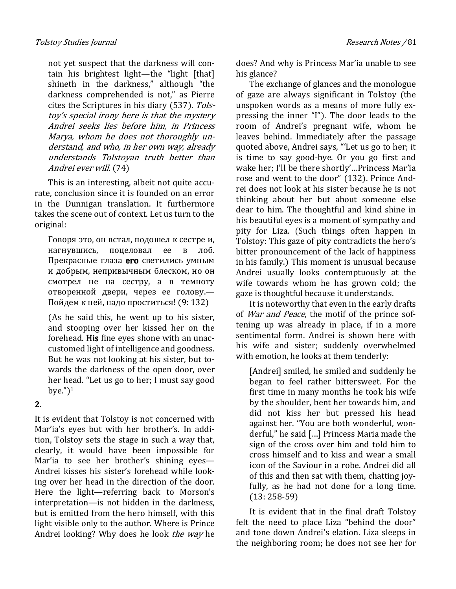not yet suspect that the darkness will contain his brightest light—the "light [that] shineth in the darkness," although "the darkness comprehended is not," as Pierre cites the Scriptures in his diary (537). Tolstoy's special irony here is that the mystery Andrei seeks lies before him, in Princess Marya, whom he does not thoroughly understand, and who, in her own way, already understands Tolstoyan truth better than Andrei ever will. (74)

This is an interesting, albeit not quite accurate, conclusion since it is founded on an error in the Dunnigan translation. It furthermore takes the scene out of context. Let us turn to the original:

Говоря это, он встал, подошел к сестре и, нагнувшись, поцеловал ее в лоб. Прекрасные глаза его светились умным и добрым, непривычным блеском, но он смотрел не на сестру, а в темноту отворенной двери, через ее голову.— Пойдем к ней, надо проститься! (9: 132)

(As he said this, he went up to his sister, and stooping over her kissed her on the forehead. His fine eyes shone with an unaccustomed light of intelligence and goodness. But he was not looking at his sister, but towards the darkness of the open door, over her head. "Let us go to her; I must say good bye." $)^1$ 

# 2.

It is evident that Tolstoy is not concerned with Mar'ia's eyes but with her brother's. In addition, Tolstoy sets the stage in such a way that, clearly, it would have been impossible for Mar'ia to see her brother's shining eyes— Andrei kisses his sister's forehead while looking over her head in the direction of the door. Here the light—referring back to Morson's interpretation—is not hidden in the darkness, but is emitted from the hero himself, with this light visible only to the author. Where is Prince Andrei looking? Why does he look the way he

does? And why is Princess Mar'ia unable to see his glance?

The exchange of glances and the monologue of gaze are always significant in Tolstoy (the unspoken words as a means of more fully expressing the inner "I"). The door leads to the room of Andrei's pregnant wife, whom he leaves behind. Immediately after the passage quoted above, Andrei says, "'Let us go to her; it is time to say good-bye. Or you go first and wake her; I'll be there shortly'…Princess Mar'ia rose and went to the door" (132). Prince Andrei does not look at his sister because he is not thinking about her but about someone else dear to him. The thoughtful and kind shine in his beautiful eyes is a moment of sympathy and pity for Liza. (Such things often happen in Tolstoy: This gaze of pity contradicts the hero's bitter pronouncement of the lack of happiness in his family.) This moment is unusual because Andrei usually looks contemptuously at the wife towards whom he has grown cold; the gaze is thoughtful because it understands.

It is noteworthy that even in the early drafts of War and Peace, the motif of the prince softening up was already in place, if in a more sentimental form. Andrei is shown here with his wife and sister; suddenly overwhelmed with emotion, he looks at them tenderly:

[Andrei] smiled, he smiled and suddenly he began to feel rather bittersweet. For the first time in many months he took his wife by the shoulder, bent her towards him, and did not kiss her but pressed his head against her. "You are both wonderful, wonderful," he said […] Princess Maria made the sign of the cross over him and told him to cross himself and to kiss and wear a small icon of the Saviour in a robe. Andrei did all of this and then sat with them, chatting joyfully, as he had not done for a long time. (13: 258-59)

It is evident that in the final draft Tolstoy felt the need to place Liza "behind the door" and tone down Andrei's elation. Liza sleeps in the neighboring room; he does not see her for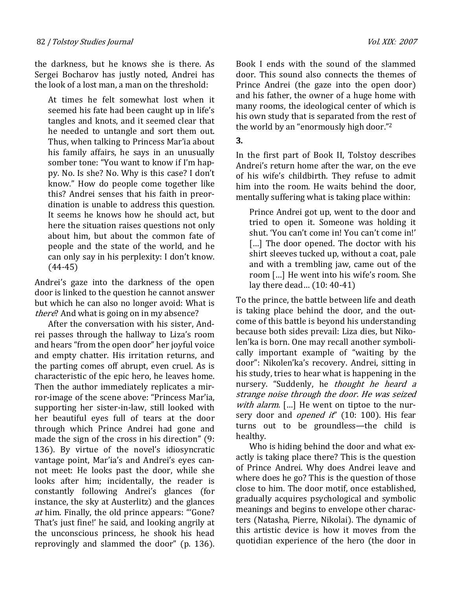the darkness, but he knows she is there. As Sergei Bocharov has justly noted, Andrei has the look of a lost man, a man on the threshold:

At times he felt somewhat lost when it seemed his fate had been caught up in life's tangles and knots, and it seemed clear that he needed to untangle and sort them out. Thus, when talking to Princess Mar'ia about his family affairs, he says in an unusually somber tone: "You want to know if I'm happy. No. Is she? No. Why is this case? I don't know." How do people come together like this? Andrei senses that his faith in preordination is unable to address this question. It seems he knows how he should act, but here the situation raises questions not only about him, but about the common fate of people and the state of the world, and he can only say in his perplexity: I don't know. (44-45)

Andrei's gaze into the darkness of the open door is linked to the question he cannot answer but which he can also no longer avoid: What is there? And what is going on in my absence?

After the conversation with his sister, Andrei passes through the hallway to Liza's room and hears "from the open door" her joyful voice and empty chatter. His irritation returns, and the parting comes off abrupt, even cruel. As is characteristic of the epic hero, he leaves home. Then the author immediately replicates a mirror-image of the scene above: "Princess Mar'ia, supporting her sister-in-law, still looked with her beautiful eyes full of tears at the door through which Prince Andrei had gone and made the sign of the cross in his direction" (9: 136). By virtue of the novel's idiosyncratic vantage point, Mar'ia's and Andrei's eyes cannot meet: He looks past the door, while she looks after him; incidentally, the reader is constantly following Andrei's glances (for instance, the sky at Austerlitz) and the glances at him. Finally, the old prince appears: "'Gone? That's just fine!' he said, and looking angrily at the unconscious princess, he shook his head reprovingly and slammed the door" (p. 136). Book I ends with the sound of the slammed door. This sound also connects the themes of Prince Andrei (the gaze into the open door) and his father, the owner of a huge home with many rooms, the ideological center of which is his own study that is separated from the rest of the world by an "enormously high door."<sup>2</sup>

## 3.

In the first part of Book II, Tolstoy describes Andrei's return home after the war, on the eve of his wife's childbirth. They refuse to admit him into the room. He waits behind the door, mentally suffering what is taking place within:

Prince Andrei got up, went to the door and tried to open it. Someone was holding it shut. 'You can't come in! You can't come in!' [...] The door opened. The doctor with his shirt sleeves tucked up, without a coat, pale and with a trembling jaw, came out of the room […] He went into his wife's room. She lay there dead… (10: 40-41)

To the prince, the battle between life and death is taking place behind the door, and the outcome of this battle is beyond his understanding because both sides prevail: Liza dies, but Nikolen'ka is born. One may recall another symbolically important example of "waiting by the door": Nikolen'ka's recovery. Andrei, sitting in his study, tries to hear what is happening in the nursery. "Suddenly, he thought he heard a strange noise through the door. He was seized with alarm. [...] He went on tiptoe to the nursery door and *opened it*" (10: 100). His fear turns out to be groundless—the child is healthy.

Who is hiding behind the door and what exactly is taking place there? This is the question of Prince Andrei. Why does Andrei leave and where does he go? This is the question of those close to him. The door motif, once established, gradually acquires psychological and symbolic meanings and begins to envelope other characters (Natasha, Pierre, Nikolai). The dynamic of this artistic device is how it moves from the quotidian experience of the hero (the door in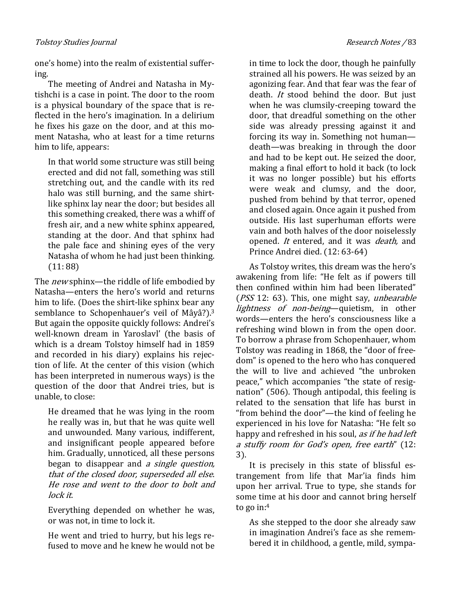one's home) into the realm of existential suffering.

The meeting of Andrei and Natasha in Mytishchi is a case in point. The door to the room is a physical boundary of the space that is reflected in the hero's imagination. In a delirium he fixes his gaze on the door, and at this moment Natasha, who at least for a time returns him to life, appears:

In that world some structure was still being erected and did not fall, something was still stretching out, and the candle with its red halo was still burning, and the same shirtlike sphinx lay near the door; but besides all this something creaked, there was a whiff of fresh air, and a new white sphinx appeared, standing at the door. And that sphinx had the pale face and shining eyes of the very Natasha of whom he had just been thinking. (11: 88)

The *new* sphinx—the riddle of life embodied by Natasha—enters the hero's world and returns him to life. (Does the shirt-like sphinx bear any semblance to Schopenhauer's veil of Mâyâ?).<sup>3</sup> But again the opposite quickly follows: Andrei's well-known dream in Yaroslavl' (the basis of which is a dream Tolstoy himself had in 1859 and recorded in his diary) explains his rejection of life. At the center of this vision (which has been interpreted in numerous ways) is the question of the door that Andrei tries, but is unable, to close:

He dreamed that he was lying in the room he really was in, but that he was quite well and unwounded. Many various, indifferent, and insignificant people appeared before him. Gradually, unnoticed, all these persons began to disappear and *a single question*, that of the closed door, superseded all else. He rose and went to the door to bolt and lock it.

Everything depended on whether he was, or was not, in time to lock it.

He went and tried to hurry, but his legs refused to move and he knew he would not be in time to lock the door, though he painfully strained all his powers. He was seized by an agonizing fear. And that fear was the fear of death. It stood behind the door. But just when he was clumsily-creeping toward the door, that dreadful something on the other side was already pressing against it and forcing its way in. Something not human death—was breaking in through the door and had to be kept out. He seized the door, making a final effort to hold it back (to lock it was no longer possible) but his efforts were weak and clumsy, and the door, pushed from behind by that terror, opened and closed again. Once again it pushed from outside. His last superhuman efforts were vain and both halves of the door noiselessly opened. It entered, and it was death, and Prince Andrei died. (12: 63-64)

As Tolstoy writes, this dream was the hero's awakening from life: "He felt as if powers till then confined within him had been liberated" (*PSS* 12: 63). This, one might say, *unbearable* lightness of non-being—quietism, in other words—enters the hero's consciousness like a refreshing wind blown in from the open door. To borrow a phrase from Schopenhauer, whom Tolstoy was reading in 1868, the "door of freedom" is opened to the hero who has conquered the will to live and achieved "the unbroken peace," which accompanies "the state of resignation" (506). Though antipodal, this feeling is related to the sensation that life has burst in "from behind the door"—the kind of feeling he experienced in his love for Natasha: "He felt so happy and refreshed in his soul, as if he had left a stuffy room for God's open, free earth" (12: 3).

It is precisely in this state of blissful estrangement from life that Mar'ia finds him upon her arrival. True to type, she stands for some time at his door and cannot bring herself to go in:<sup>4</sup>

As she stepped to the door she already saw in imagination Andrei's face as she remembered it in childhood, a gentle, mild, sympa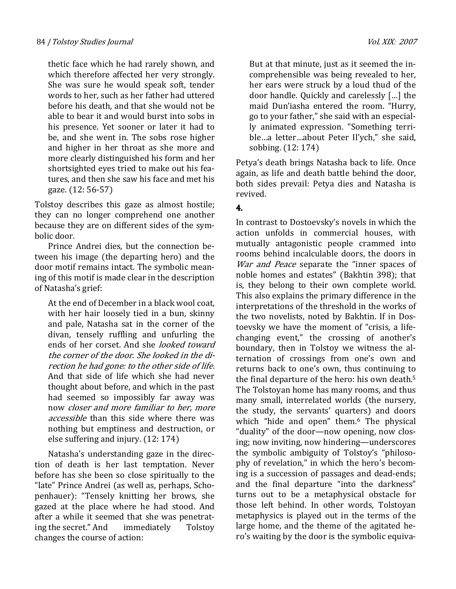thetic face which he had rarely shown, and which therefore affected her very strongly. She was sure he would speak soft, tender words to her, such as her father had uttered before his death, and that she would not be able to bear it and would burst into sobs in his presence. Yet sooner or later it had to be, and she went in. The sobs rose higher and higher in her throat as she more and more clearly distinguished his form and her shortsighted eyes tried to make out his features, and then she saw his face and met his gaze. (12: 56-57)

Tolstoy describes this gaze as almost hostile; they can no longer comprehend one another because they are on different sides of the symbolic door.

Prince Andrei dies, but the connection between his image (the departing hero) and the door motif remains intact. The symbolic meaning of this motif is made clear in the description of Natasha's grief:

At the end of December in a black wool coat, with her hair loosely tied in a bun, skinny and pale, Natasha sat in the corner of the divan, tensely ruffling and unfurling the ends of her corset. And she looked toward the corner of the door. She looked in the direction he had gone: to the other side of life. And that side of life which she had never thought about before, and which in the past had seemed so impossibly far away was now closer and more familiar to her, more accessible than this side where there was nothing but emptiness and destruction, or else suffering and injury. (12: 174)

Natasha's understanding gaze in the direction of death is her last temptation. Never before has she been so close spiritually to the "late" Prince Andrei (as well as, perhaps, Schopenhauer): "Tensely knitting her brows, she gazed at the place where he had stood. And after a while it seemed that she was penetrating the secret." And immediately Tolstoy changes the course of action:

But at that minute, just as it seemed the incomprehensible was being revealed to her, her ears were struck by a loud thud of the door handle. Quickly and carelessly […] the maid Dun'iasha entered the room. "Hurry, go to your father," she said with an especially animated expression. "Something terrible…a letter…about Peter Il'ych," she said, sobbing. (12: 174)

Petya's death brings Natasha back to life. Once again, as life and death battle behind the door, both sides prevail: Petya dies and Natasha is revived.

# 4.

In contrast to Dostoevsky's novels in which the action unfolds in commercial houses, with mutually antagonistic people crammed into rooms behind incalculable doors, the doors in War and Peace separate the "inner spaces of noble homes and estates" (Bakhtin 398); that is, they belong to their own complete world. This also explains the primary difference in the interpretations of the threshold in the works of the two novelists, noted by Bakhtin. If in Dostoevsky we have the moment of "crisis, a lifechanging event," the crossing of another's boundary, then in Tolstoy we witness the alternation of crossings from one's own and returns back to one's own, thus continuing to the final departure of the hero: his own death.<sup>5</sup> The Tolstoyan home has many rooms, and thus many small, interrelated worlds (the nursery, the study, the servants' quarters) and doors which "hide and open" them.<sup>6</sup> The physical "duality" of the door—now opening, now closing; now inviting, now hindering—underscores the symbolic ambiguity of Tolstoy's "philosophy of revelation," in which the hero's becoming is a succession of passages and dead-ends; and the final departure "into the darkness" turns out to be a metaphysical obstacle for those left behind. In other words, Tolstoyan metaphysics is played out in the terms of the large home, and the theme of the agitated hero's waiting by the door is the symbolic equiva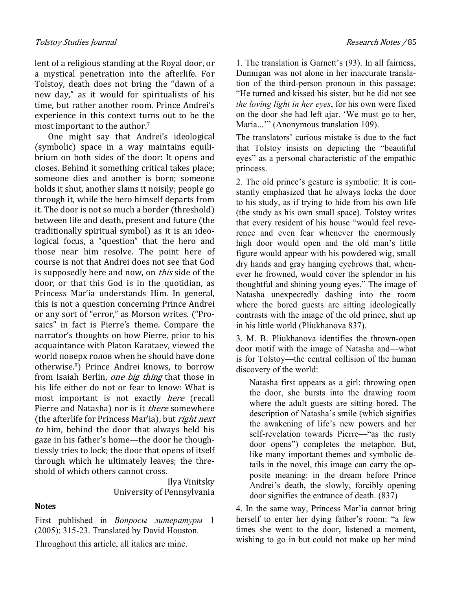lent of a religious standing at the Royal door, or a mystical penetration into the afterlife. For Tolstoy, death does not bring the "dawn of a new day," as it would for spiritualists of his time, but rather another room. Prince Andrei's experience in this context turns out to be the most important to the author.<sup>7</sup>

One might say that Andrei's ideological (symbolic) space in a way maintains equilibrium on both sides of the door: It opens and closes. Behind it something critical takes place; someone dies and another is born; someone holds it shut, another slams it noisily; people go through it, while the hero himself departs from it. The door is not so much a border (threshold) between life and death, present and future (the traditionally spiritual symbol) as it is an ideological focus, a "question" that the hero and those near him resolve. The point here of course is not that Andrei does not see that God is supposedly here and now, on *this* side of the door, or that this God is in the quotidian, as Princess Mar'ia understands Him. In general, this is not a question concerning Prince Andrei or any sort of "error," as Morson writes. ("Prosaics" in fact is Pierre's theme. Compare the narrator's thoughts on how Pierre, prior to his acquaintance with Platon Karataev, viewed the world поверх голов when he should have done otherwise.8) Prince Andrei knows, to borrow from Isaiah Berlin, *one big thing* that those in his life either do not or fear to know: What is most important is not exactly here (recall Pierre and Natasha) nor is it *there* somewhere (the afterlife for Princess Mar'ia), but right next to him, behind the door that always held his gaze in his father's home—the door he thoughtlessly tries to lock; the door that opens of itself through which he ultimately leaves; the threshold of which others cannot cross.

> Ilya Vinitsky University of Pennsylvania

#### **Notes**

First published in Вопросы литературы 1 (2005): 315-23. Translated by David Houston.

Throughout this article, all italics are mine.

1. The translation is Garnett's (93). In all fairness, Dunnigan was not alone in her inaccurate translation of the third-person pronoun in this passage: "He turned and kissed his sister, but he did not see the loving light in her eyes, for his own were fixed on the door she had left ajar. 'We must go to her, Maria...'" (Anonymous translation 109).

The translators' curious mistake is due to the fact that Tolstoy insists on depicting the "beautiful eyes" as a personal characteristic of the empathic princess.

2. The old prince's gesture is symbolic: It is constantly emphasized that he always locks the door to his study, as if trying to hide from his own life (the study as his own small space). Tolstoy writes that every resident of his house "would feel reverence and even fear whenever the enormously high door would open and the old man's little figure would appear with his powdered wig, small dry hands and gray hanging eyebrows that, whenever he frowned, would cover the splendor in his thoughtful and shining young eyes." The image of Natasha unexpectedly dashing into the room where the bored guests are sitting ideologically contrasts with the image of the old prince, shut up in his little world (Pliukhanova 837).

3. M. B. Pliukhanova identifies the thrown-open door motif with the image of Natasha and—what is for Tolstoy—the central collision of the human discovery of the world:

Natasha first appears as a girl: throwing open the door, she bursts into the drawing room where the adult guests are sitting bored. The description of Natasha's smile (which signifies the awakening of life's new powers and her self-revelation towards Pierre—"as the rusty door opens") completes the metaphor. But, like many important themes and symbolic details in the novel, this image can carry the opposite meaning: in the dream before Prince Andrei's death, the slowly, forcibly opening door signifies the entrance of death. (837)

4. In the same way, Princess Mar'ia cannot bring herself to enter her dying father's room: "a few times she went to the door, listened a moment, wishing to go in but could not make up her mind